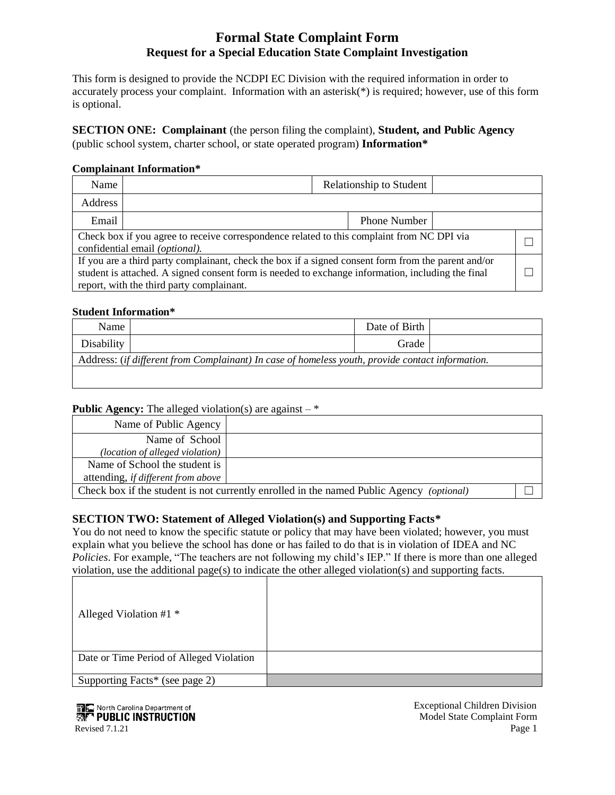## **Formal State Complaint Form Request for a Special Education State Complaint Investigation**

This form is designed to provide the NCDPI EC Division with the required information in order to accurately process your complaint. Information with an asterisk( $*)$  is required; however, use of this form is optional.

**SECTION ONE: Complainant** (the person filing the complaint), **Student, and Public Agency**  (public school system, charter school, or state operated program) **Information\***

#### **Complainant Information\***

| Name                                                                                                                                                                                                                                                  |  |  | Relationship to Student |  |  |
|-------------------------------------------------------------------------------------------------------------------------------------------------------------------------------------------------------------------------------------------------------|--|--|-------------------------|--|--|
| <b>Address</b>                                                                                                                                                                                                                                        |  |  |                         |  |  |
| Email                                                                                                                                                                                                                                                 |  |  | Phone Number            |  |  |
| Check box if you agree to receive correspondence related to this complaint from NC DPI via<br>confidential email (optional).                                                                                                                          |  |  |                         |  |  |
| If you are a third party complainant, check the box if a signed consent form from the parent and/or<br>student is attached. A signed consent form is needed to exchange information, including the final<br>report, with the third party complainant. |  |  |                         |  |  |

### **Student Information\***

| Name                                                                                             |  | Date of Birth |  |
|--------------------------------------------------------------------------------------------------|--|---------------|--|
| Disability                                                                                       |  | Grade         |  |
| Address: (if different from Complainant) In case of homeless youth, provide contact information. |  |               |  |
|                                                                                                  |  |               |  |

#### **Public Agency:** The alleged violation(s) are against  $-$

| Name of Public Agency                                                                    |  |  |
|------------------------------------------------------------------------------------------|--|--|
| Name of School                                                                           |  |  |
| (location of alleged violation)                                                          |  |  |
| Name of School the student is                                                            |  |  |
| attending, if different from above                                                       |  |  |
| Check box if the student is not currently enrolled in the named Public Agency (optional) |  |  |

## **SECTION TWO: Statement of Alleged Violation(s) and Supporting Facts\***

You do not need to know the specific statute or policy that may have been violated; however, you must explain what you believe the school has done or has failed to do that is in violation of IDEA and NC *Policies*. For example, "The teachers are not following my child's IEP." If there is more than one alleged violation, use the additional page(s) to indicate the other alleged violation(s) and supporting facts.

| Alleged Violation #1 $*$                 |  |
|------------------------------------------|--|
| Date or Time Period of Alleged Violation |  |
| Supporting Facts* (see page 2)           |  |



Model State Complaint Form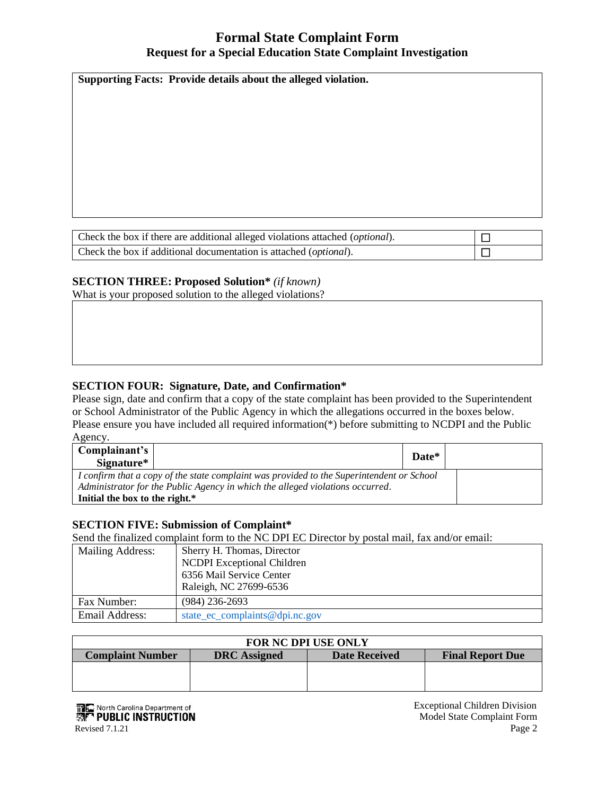## **Formal State Complaint Form Request for a Special Education State Complaint Investigation**

**Supporting Facts: Provide details about the alleged violation.**

| Check the box if there are additional alleged violations attached ( <i>optional</i> ). |  |
|----------------------------------------------------------------------------------------|--|
| Check the box if additional documentation is attached ( <i>optional</i> ).             |  |

## **SECTION THREE: Proposed Solution\*** *(if known)*

What is your proposed solution to the alleged violations?

## **SECTION FOUR: Signature, Date, and Confirmation\***

Please sign, date and confirm that a copy of the state complaint has been provided to the Superintendent or School Administrator of the Public Agency in which the allegations occurred in the boxes below. Please ensure you have included all required information(\*) before submitting to NCDPI and the Public Agency.

| Complainant's<br>Signature*                                                               |  | Date* |  |
|-------------------------------------------------------------------------------------------|--|-------|--|
| I confirm that a copy of the state complaint was provided to the Superintendent or School |  |       |  |
| Administrator for the Public Agency in which the alleged violations occurred.             |  |       |  |
| Initial the box to the right.*                                                            |  |       |  |

#### **SECTION FIVE: Submission of Complaint\***

Send the finalized complaint form to the NC DPI EC Director by postal mail, fax and/or email:

| Mailing Address:                                 | Sherry H. Thomas, Director<br><b>NCDPI</b> Exceptional Children<br>6356 Mail Service Center<br>Raleigh, NC 27699-6536 |
|--------------------------------------------------|-----------------------------------------------------------------------------------------------------------------------|
| Fax Number:                                      | $(984)$ 236-2693                                                                                                      |
| Email Address:<br>state_ec_complaints@dpi.nc.gov |                                                                                                                       |

| <b>FOR NC DPI USE ONLY</b>                                                                        |  |  |  |
|---------------------------------------------------------------------------------------------------|--|--|--|
| <b>Complaint Number</b><br><b>DRC</b> Assigned<br><b>Date Received</b><br><b>Final Report Due</b> |  |  |  |
|                                                                                                   |  |  |  |
|                                                                                                   |  |  |  |
|                                                                                                   |  |  |  |

**Exceptional Children Division**<br> **Exceptional Children Division**<br> **Exceptional Children Division**<br> **Exceptional Children Division**<br> **Exceptional Children Division**<br> **Exceptional Children Division**  Model State Complaint Form Revised 7.1.21 Page 2